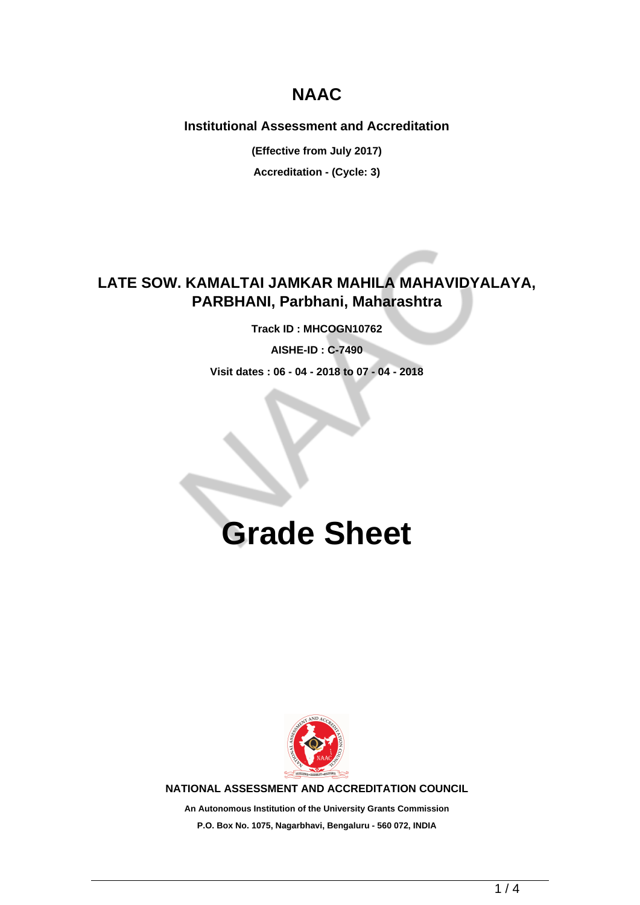## **NAAC**

#### **Institutional Assessment and Accreditation**

**(Effective from July 2017) Accreditation - (Cycle: 3)**

### **LATE SOW. KAMALTAI JAMKAR MAHILA MAHAVIDYALAYA, PARBHANI, Parbhani, Maharashtra**

**Track ID : MHCOGN10762**

**AISHE-ID : C-7490**

**Visit dates : 06 - 04 - 2018 to 07 - 04 - 2018**

# **Grade Sheet**



**NATIONAL ASSESSMENT AND ACCREDITATION COUNCIL**

**An Autonomous Institution of the University Grants Commission P.O. Box No. 1075, Nagarbhavi, Bengaluru - 560 072, INDIA**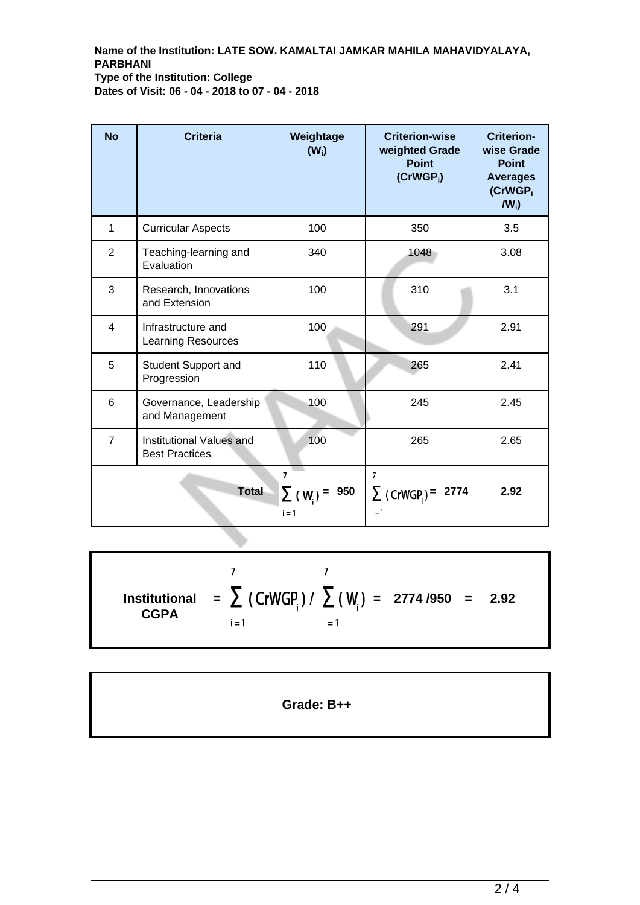**Name of the Institution: LATE SOW. KAMALTAI JAMKAR MAHILA MAHAVIDYALAYA, PARBHANI Type of the Institution: College Dates of Visit: 06 - 04 - 2018 to 07 - 04 - 2018**

| <b>No</b>      | <b>Criteria</b>                                   | Weightage<br>$(W_i)$                | <b>Criterion-wise</b><br>weighted Grade<br><b>Point</b><br>$(CrWGP_i)$ | <b>Criterion-</b><br>wise Grade<br><b>Point</b><br><b>Averages</b><br>(CrWGP <sub>i</sub><br>$IW_i$ |
|----------------|---------------------------------------------------|-------------------------------------|------------------------------------------------------------------------|-----------------------------------------------------------------------------------------------------|
| 1              | <b>Curricular Aspects</b>                         | 100                                 | 350                                                                    | 3.5                                                                                                 |
| $\overline{2}$ | Teaching-learning and<br>Evaluation               | 340                                 | 1048                                                                   | 3.08                                                                                                |
| 3              | Research, Innovations<br>and Extension            | 100                                 | 310                                                                    | 3.1                                                                                                 |
| $\overline{4}$ | Infrastructure and<br><b>Learning Resources</b>   | 100                                 | 291                                                                    | 2.91                                                                                                |
| 5              | Student Support and<br>Progression                | 110                                 | 265                                                                    | 2.41                                                                                                |
| 6              | Governance, Leadership<br>and Management          | 100                                 | 245                                                                    | 2.45                                                                                                |
| $\overline{7}$ | Institutional Values and<br><b>Best Practices</b> | 100                                 | 265                                                                    | 2.65                                                                                                |
| <b>Total</b>   |                                                   | 7<br>950<br>$\Sigma$ (W)<br>$i = 1$ | $\overline{7}$<br>$\sum$ (CrWGP) =<br>2774<br>$i = 1$                  | 2.92                                                                                                |

 $\overline{7}$  $\overline{7}$ **=**  $\sum$  (CrWGP<sub>i</sub>)/  $\sum$  (W<sub>i</sub>) = 2774 /950 = 2.92 **Institutional CGPA**  $i = 1$  $i = 1$ 

**Grade: B++**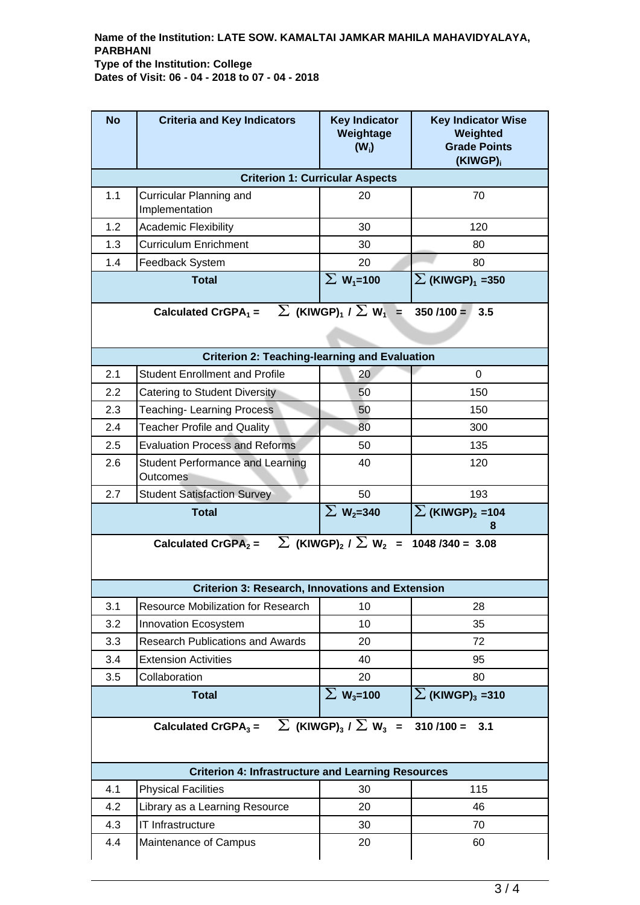#### **Name of the Institution: LATE SOW. KAMALTAI JAMKAR MAHILA MAHAVIDYALAYA, PARBHANI Type of the Institution: College Dates of Visit: 06 - 04 - 2018 to 07 - 04 - 2018**

| <b>No</b>                                                                                                      | <b>Criteria and Key Indicators</b>                                                                           | <b>Key Indicator</b><br>Weightage<br>$(W_i)$          | <b>Key Indicator Wise</b><br>Weighted<br><b>Grade Points</b><br>(KIWGP) <sub>i</sub> |  |  |  |  |
|----------------------------------------------------------------------------------------------------------------|--------------------------------------------------------------------------------------------------------------|-------------------------------------------------------|--------------------------------------------------------------------------------------|--|--|--|--|
| <b>Criterion 1: Curricular Aspects</b>                                                                         |                                                                                                              |                                                       |                                                                                      |  |  |  |  |
| 1.1                                                                                                            | Curricular Planning and<br>Implementation                                                                    | 20                                                    | 70                                                                                   |  |  |  |  |
| 1.2                                                                                                            | <b>Academic Flexibility</b>                                                                                  | 30                                                    | 120                                                                                  |  |  |  |  |
| 1.3                                                                                                            | <b>Curriculum Enrichment</b>                                                                                 | 30                                                    | 80                                                                                   |  |  |  |  |
| 1.4                                                                                                            | Feedback System                                                                                              | 20                                                    | 80                                                                                   |  |  |  |  |
|                                                                                                                | <b>Total</b>                                                                                                 | $\Sigma$ W <sub>1</sub> =100                          | $\sum$ (KIWGP) <sub>1</sub> =350                                                     |  |  |  |  |
| $\sum$ (KIWGP) <sub>1</sub> / $\sum$ W <sub>1</sub> =<br>Calculated CrGPA <sub>1</sub> =<br>$350/100 =$<br>3.5 |                                                                                                              |                                                       |                                                                                      |  |  |  |  |
| <b>Criterion 2: Teaching-learning and Evaluation</b>                                                           |                                                                                                              |                                                       |                                                                                      |  |  |  |  |
| 2.1                                                                                                            | <b>Student Enrollment and Profile</b>                                                                        | 20                                                    | 0                                                                                    |  |  |  |  |
| 2.2                                                                                                            | <b>Catering to Student Diversity</b>                                                                         | 50                                                    | 150                                                                                  |  |  |  |  |
| 2.3                                                                                                            | <b>Teaching-Learning Process</b>                                                                             | 50                                                    | 150                                                                                  |  |  |  |  |
| 2.4                                                                                                            | <b>Teacher Profile and Quality</b>                                                                           | 80                                                    | 300                                                                                  |  |  |  |  |
| 2.5                                                                                                            | <b>Evaluation Process and Reforms</b>                                                                        | 50                                                    | 135                                                                                  |  |  |  |  |
| 2.6                                                                                                            | Student Performance and Learning<br>Outcomes                                                                 | 40                                                    | 120                                                                                  |  |  |  |  |
| 2.7                                                                                                            | <b>Student Satisfaction Survey</b>                                                                           | 50                                                    | 193                                                                                  |  |  |  |  |
| <b>Total</b>                                                                                                   |                                                                                                              | $\Sigma$ W <sub>2</sub> =340                          | $\sum$ (KIWGP) <sub>2</sub> =104<br>8                                                |  |  |  |  |
|                                                                                                                | Calculated CrGPA <sub>2</sub> = $\sum$ (KIWGP) <sub>2</sub> / $\sum$ W <sub>2</sub> =<br>$1048 / 340 = 3.08$ |                                                       |                                                                                      |  |  |  |  |
|                                                                                                                |                                                                                                              |                                                       |                                                                                      |  |  |  |  |
|                                                                                                                | <b>Criterion 3: Research, Innovations and Extension</b>                                                      |                                                       |                                                                                      |  |  |  |  |
| 3.1                                                                                                            | Resource Mobilization for Research                                                                           | 10                                                    | 28                                                                                   |  |  |  |  |
| 3.2                                                                                                            | <b>Innovation Ecosystem</b>                                                                                  | 10                                                    | 35                                                                                   |  |  |  |  |
| 3.3                                                                                                            | <b>Research Publications and Awards</b>                                                                      | 20                                                    | 72                                                                                   |  |  |  |  |
| 3.4                                                                                                            | <b>Extension Activities</b>                                                                                  | 40                                                    | 95                                                                                   |  |  |  |  |
| 3.5                                                                                                            | Collaboration                                                                                                | 20                                                    | 80                                                                                   |  |  |  |  |
|                                                                                                                | <b>Total</b>                                                                                                 | $\overline{\sum W_{3}}$ =100                          | $\sum$ (KIWGP) <sub>3</sub> = 310                                                    |  |  |  |  |
|                                                                                                                | Calculated CrGPA $_3$ =                                                                                      | $\sum$ (KIWGP) <sub>3</sub> / $\sum$ W <sub>3</sub> = | $310/100 =$<br>3.1                                                                   |  |  |  |  |
|                                                                                                                | <b>Criterion 4: Infrastructure and Learning Resources</b>                                                    |                                                       |                                                                                      |  |  |  |  |
| 4.1                                                                                                            | <b>Physical Facilities</b>                                                                                   | 30                                                    | 115                                                                                  |  |  |  |  |
| 4.2                                                                                                            | Library as a Learning Resource                                                                               | 20                                                    | 46                                                                                   |  |  |  |  |
| 4.3                                                                                                            | IT Infrastructure                                                                                            | 30                                                    | 70                                                                                   |  |  |  |  |